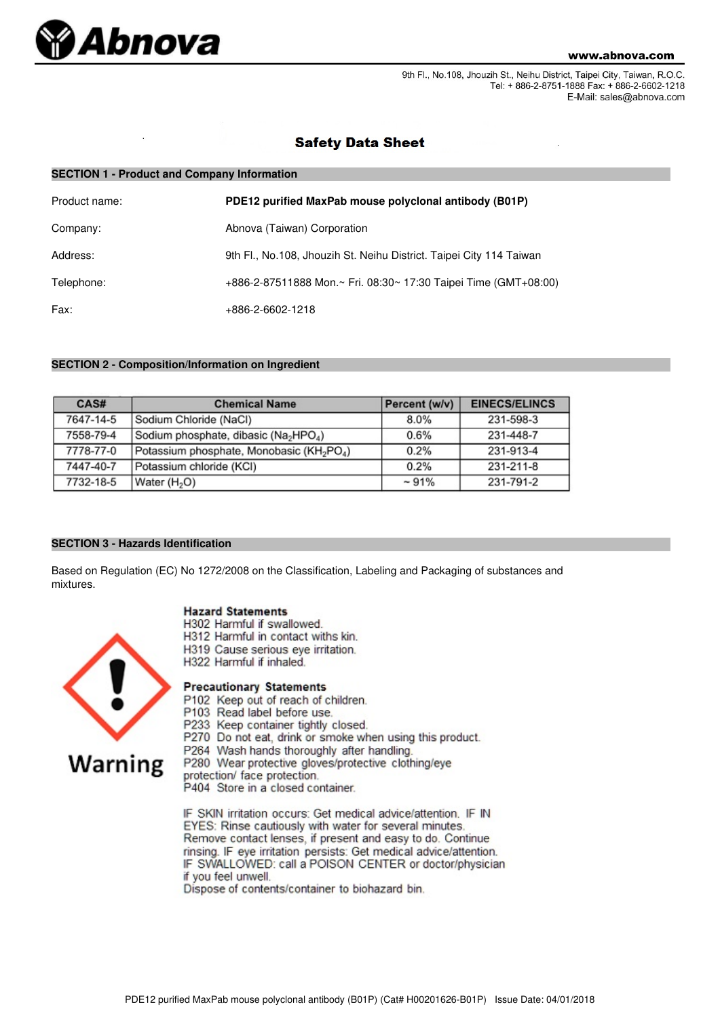

9th Fl., No.108, Jhouzih St., Neihu District, Taipei City, Taiwan, R.O.C. Tel: + 886-2-8751-1888 Fax: + 886-2-6602-1218 E-Mail: sales@abnova.com

## **Safety Data Sheet**

| <b>SECTION 1 - Product and Company Information</b> |                                                                     |  |  |
|----------------------------------------------------|---------------------------------------------------------------------|--|--|
| Product name:                                      | PDE12 purified MaxPab mouse polyclonal antibody (B01P)              |  |  |
| Company:                                           | Abnova (Taiwan) Corporation                                         |  |  |
| Address:                                           | 9th Fl., No.108, Jhouzih St. Neihu District. Taipei City 114 Taiwan |  |  |
| Telephone:                                         | +886-2-87511888 Mon.~ Fri. 08:30~ 17:30 Taipei Time (GMT+08:00)     |  |  |
| Fax:                                               | +886-2-6602-1218                                                    |  |  |

## **SECTION 2 - Composition/Information on Ingredient**

| CAS#      | <b>Chemical Name</b>                                              | Percent (w/v) | <b>EINECS/ELINCS</b> |
|-----------|-------------------------------------------------------------------|---------------|----------------------|
| 7647-14-5 | Sodium Chloride (NaCl)                                            | 8.0%          | 231-598-3            |
| 7558-79-4 | Sodium phosphate, dibasic (Na <sub>2</sub> HPO <sub>4</sub> )     | 0.6%          | 231-448-7            |
| 7778-77-0 | Potassium phosphate, Monobasic (KH <sub>2</sub> PO <sub>4</sub> ) | 0.2%          | 231-913-4            |
| 7447-40-7 | Potassium chloride (KCI)                                          | 0.2%          | 231-211-8            |
| 7732-18-5 | Water (H <sub>2</sub> O)                                          | $~1\%$        | 231-791-2            |

## **SECTION 3 - Hazards Identification**

Based on Regulation (EC) No 1272/2008 on the Classification, Labeling and Packaging of substances and mixtures.

## **Hazard Statements**

- H302 Harmful if swallowed.
- H312 Harmful in contact withs kin.
- H319 Cause serious eye irritation.
- H322 Harmful if inhaled.

# **Warning**

- **Precautionary Statements**
- P102 Keep out of reach of children.
- P103 Read label before use.
- P233 Keep container tightly closed.
- P270 Do not eat, drink or smoke when using this product.
- P264 Wash hands thoroughly after handling.

P280 Wear protective gloves/protective clothing/eye

protection/ face protection.

P404 Store in a closed container.

IF SKIN irritation occurs: Get medical advice/attention. IF IN EYES: Rinse cautiously with water for several minutes. Remove contact lenses, if present and easy to do. Continue rinsing. IF eye irritation persists: Get medical advice/attention. IF SWALLOWED: call a POISON CENTER or doctor/physician if you feel unwell.

Dispose of contents/container to biohazard bin.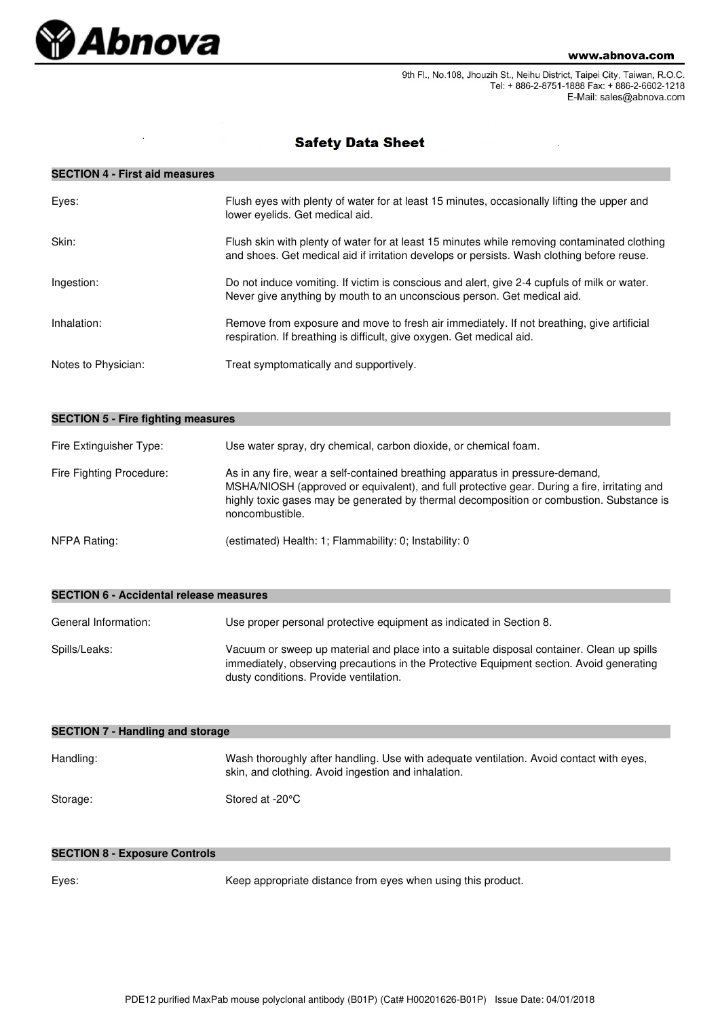

9th Fl., No.108, Jhouzih St., Neihu District, Taipei City, Taiwan, R.O.C. Tel: + 886-2-8751-1888 Fax: + 886-2-6602-1218 E-Mail: sales@abnova.com

# **Safety Data Sheet**

## **SECTION 4 - First aid measures**

| Eyes:               | Flush eyes with plenty of water for at least 15 minutes, occasionally lifting the upper and<br>lower evelids. Get medical aid.                                                             |
|---------------------|--------------------------------------------------------------------------------------------------------------------------------------------------------------------------------------------|
| Skin:               | Flush skin with plenty of water for at least 15 minutes while removing contaminated clothing<br>and shoes. Get medical aid if irritation develops or persists. Wash clothing before reuse. |
| Ingestion:          | Do not induce vomiting. If victim is conscious and alert, give 2-4 cupfuls of milk or water.<br>Never give anything by mouth to an unconscious person. Get medical aid.                    |
| Inhalation:         | Remove from exposure and move to fresh air immediately. If not breathing, give artificial<br>respiration. If breathing is difficult, give oxygen. Get medical aid.                         |
| Notes to Physician: | Treat symptomatically and supportively.                                                                                                                                                    |

| <b>SECTION 5 - Fire fighting measures</b> |                                                                                                                                                                                                                                                                                              |  |  |
|-------------------------------------------|----------------------------------------------------------------------------------------------------------------------------------------------------------------------------------------------------------------------------------------------------------------------------------------------|--|--|
| Fire Extinguisher Type:                   | Use water spray, dry chemical, carbon dioxide, or chemical foam.                                                                                                                                                                                                                             |  |  |
| Fire Fighting Procedure:                  | As in any fire, wear a self-contained breathing apparatus in pressure-demand,<br>MSHA/NIOSH (approved or equivalent), and full protective gear. During a fire, irritating and<br>highly toxic gases may be generated by thermal decomposition or combustion. Substance is<br>noncombustible. |  |  |
| NFPA Rating:                              | (estimated) Health: 1; Flammability: 0; Instability: 0                                                                                                                                                                                                                                       |  |  |

| SECTION 0 - ACCIDENTAL I EIEASE INEASURES |                                                                                                                                                                                                                                 |  |
|-------------------------------------------|---------------------------------------------------------------------------------------------------------------------------------------------------------------------------------------------------------------------------------|--|
| General Information:                      | Use proper personal protective equipment as indicated in Section 8.                                                                                                                                                             |  |
| Spills/Leaks:                             | Vacuum or sweep up material and place into a suitable disposal container. Clean up spills<br>immediately, observing precautions in the Protective Equipment section. Avoid generating<br>dusty conditions. Provide ventilation. |  |

| <b>SECTION 7 - Handling and storage</b> |                                                                                                                                                |  |  |
|-----------------------------------------|------------------------------------------------------------------------------------------------------------------------------------------------|--|--|
| Handling:                               | Wash thoroughly after handling. Use with adequate ventilation. Avoid contact with eyes,<br>skin, and clothing. Avoid ingestion and inhalation. |  |  |
| Storage:                                | Stored at -20°C                                                                                                                                |  |  |

## **SECTION 8 - Exposure Controls**

**SECTION 6 - Accidental release measures**

Eyes: Keep appropriate distance from eyes when using this product.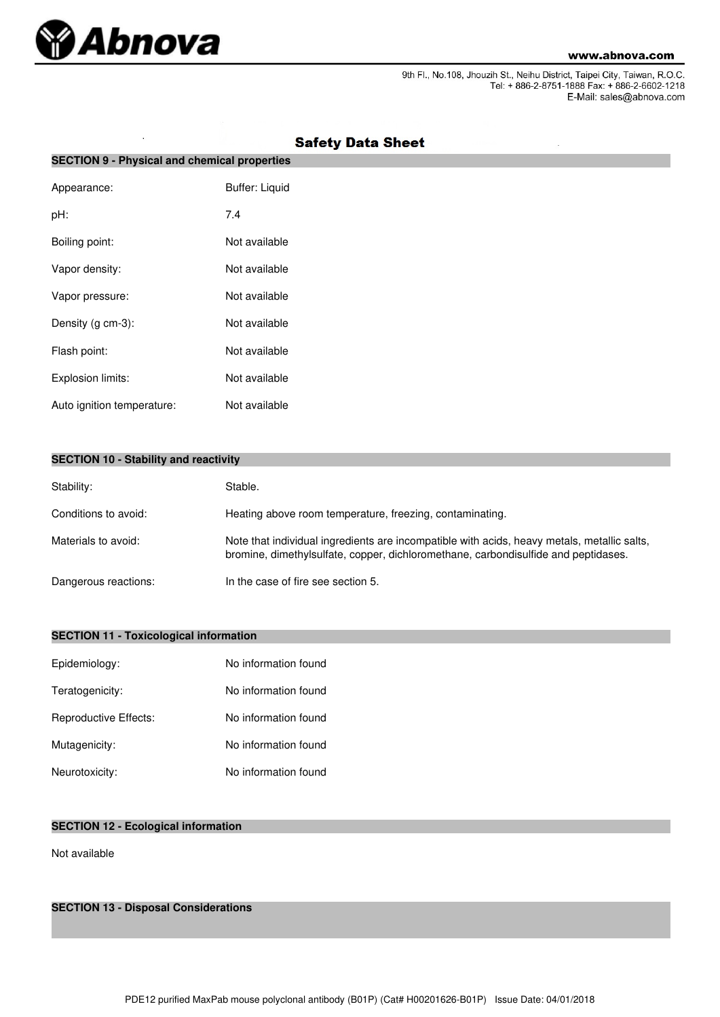

9th Fl., No.108, Jhouzih St., Neihu District, Taipei City, Taiwan, R.O.C.<br>Tel: + 886-2-8751-1888 Fax: + 886-2-6602-1218 E-Mail: sales@abnova.com

| <b>SECTION 9 - Physical and chemical properties</b> |                       |  |  |
|-----------------------------------------------------|-----------------------|--|--|
| Appearance:                                         | <b>Buffer: Liquid</b> |  |  |
| pH:                                                 | 7.4                   |  |  |
| Boiling point:                                      | Not available         |  |  |
| Vapor density:                                      | Not available         |  |  |
| Vapor pressure:                                     | Not available         |  |  |
| Density (g cm-3):                                   | Not available         |  |  |
| Flash point:                                        | Not available         |  |  |
| Explosion limits:                                   | Not available         |  |  |
| Auto ignition temperature:                          | Not available         |  |  |

# **Safety Data Sheet**

|  |  |  |  | <b>SECTION 10 - Stability and reactivity</b> |
|--|--|--|--|----------------------------------------------|
|--|--|--|--|----------------------------------------------|

| Stability:           | Stable.                                                                                                                                                                           |
|----------------------|-----------------------------------------------------------------------------------------------------------------------------------------------------------------------------------|
| Conditions to avoid: | Heating above room temperature, freezing, contaminating.                                                                                                                          |
| Materials to avoid:  | Note that individual ingredients are incompatible with acids, heavy metals, metallic salts,<br>bromine, dimethylsulfate, copper, dichloromethane, carbondisulfide and peptidases. |
| Dangerous reactions: | In the case of fire see section 5.                                                                                                                                                |

## **SECTION 11 - Toxicological information**

| Epidemiology:         | No information found |
|-----------------------|----------------------|
| Teratogenicity:       | No information found |
| Reproductive Effects: | No information found |
| Mutagenicity:         | No information found |
| Neurotoxicity:        | No information found |

## **SECTION 12 - Ecological information**

Not available

**SECTION 13 - Disposal Considerations**